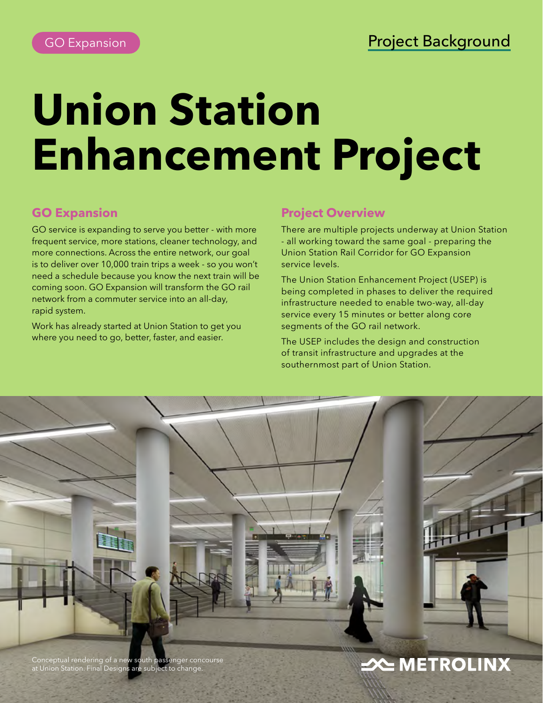# **Union Station Enhancement Project**

# **GO Expansion**

GO service is expanding to serve you better - with more frequent service, more stations, cleaner technology, and more connections. Across the entire network, our goal is to deliver over 10,000 train trips a week - so you won't need a schedule because you know the next train will be coming soon. GO Expansion will transform the GO rail network from a commuter service into an all-day, rapid system.

Work has already started at Union Station to get you where you need to go, better, faster, and easier.

# **Project Overview**

There are multiple projects underway at Union Station - all working toward the same goal - preparing the Union Station Rail Corridor for GO Expansion service levels.

The Union Station Enhancement Project (USEP) is being completed in phases to deliver the required infrastructure needed to enable two-way, all-day service every 15 minutes or better along core segments of the GO rail network.

The USEP includes the design and construction of transit infrastructure and upgrades at the southernmost part of Union Station.



Conceptual rendering of a new south passenger concourse at Union Station. Final Designs are subject to change.